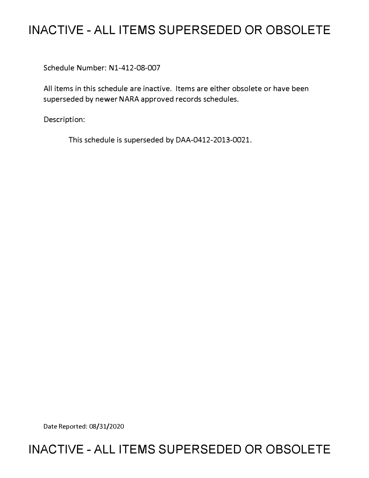# **INACTIVE - ALL ITEMS SUPERSEDED OR OBSOLETE**

Schedule Number: Nl-412-08-007

All items in this schedule are inactive. Items are either obsolete or have been superseded by newer NARA approved records schedules.

Description:

This schedule is superseded by DAA-0412-2013-0021.

Date Reported: 08/31/2020

# **INACTIVE - ALL ITEMS SUPERSEDED OR OBSOLETE**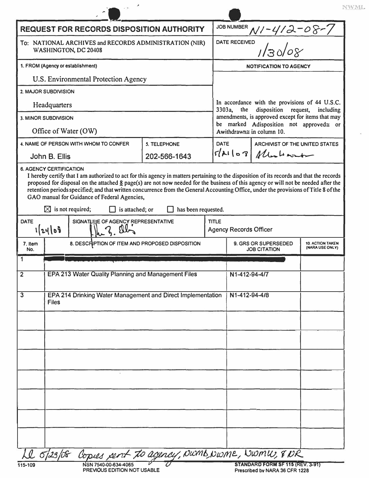| <b>REQUEST FOR RECORDS DISPOSITION AUTHORITY</b>                                                                                        |                                                                             |              |              |                                                                                                      |                                  |                                            |
|-----------------------------------------------------------------------------------------------------------------------------------------|-----------------------------------------------------------------------------|--------------|--------------|------------------------------------------------------------------------------------------------------|----------------------------------|--------------------------------------------|
| To: NATIONAL ARCHIVES and RECORDS ADMINISTRATION (NIR)<br>WASHINGTON, DC 20408                                                          |                                                                             |              |              | JOB NUMBER $N/-4/2-08-7$<br>DATE RECEIVED<br>$1/30/08$                                               |                                  |                                            |
| 1. FROM (Agency or establishment)                                                                                                       |                                                                             |              |              | <b>NOTIFICATION TO AGENCY</b>                                                                        |                                  |                                            |
| U.S. Environmental Protection Agency                                                                                                    |                                                                             |              |              |                                                                                                      |                                  |                                            |
|                                                                                                                                         | 2. MAJOR SUBDIVISION                                                        |              |              |                                                                                                      |                                  |                                            |
| Headquarters                                                                                                                            |                                                                             |              |              | In accordance with the provisions of 44 U.S.C.<br>3303a,<br>disposition request,<br>the<br>including |                                  |                                            |
|                                                                                                                                         | 3. MINOR SUBDIVISION                                                        |              |              | amendments, is approved except for items that may<br>be marked Adisposition not approved = or        |                                  |                                            |
|                                                                                                                                         | Office of Water (OW)                                                        |              |              |                                                                                                      | Awithdrawn $\cong$ in column 10. |                                            |
|                                                                                                                                         | 4. NAME OF PERSON WITH WHOM TO CONFER<br>5. TELEPHONE                       |              |              | <b>DATE</b>                                                                                          | ARCHIVIST OF THE UNITED STATES   |                                            |
|                                                                                                                                         | John B. Ellis                                                               | 202-566-1643 |              | $slk\log M$                                                                                          |                                  |                                            |
| $\boxtimes$ is not required;<br>has been requested.<br>is attached; or<br>SIGNATIURE OF AGENCY REPRESENTATIVE<br><b>DATE</b><br>1/24/08 |                                                                             |              |              | <b>Agency Records Officer</b>                                                                        |                                  |                                            |
|                                                                                                                                         |                                                                             |              | <b>TITLE</b> |                                                                                                      |                                  |                                            |
| 7. Item                                                                                                                                 | 8. DESCRIPTION OF ITEM AND PROPOSED DISPOSITION                             |              |              |                                                                                                      | 9. GRS OR SUPERSEDED             | <b>10. ACTION TAKEN</b><br>(NARA USE ONLY) |
| No.<br>1                                                                                                                                |                                                                             |              |              |                                                                                                      | <b>JOB CITATION</b>              |                                            |
| $\overline{\mathbf{2}}$                                                                                                                 | EPA 213 Water Quality Planning and Management Files                         |              |              | N1-412-94-4/7                                                                                        |                                  |                                            |
|                                                                                                                                         | EPA 214 Drinking Water Management and Direct Implementation<br><b>Files</b> |              |              | N1-412-94-4/8                                                                                        |                                  |                                            |
|                                                                                                                                         |                                                                             |              |              |                                                                                                      |                                  |                                            |
|                                                                                                                                         |                                                                             |              |              |                                                                                                      |                                  |                                            |
|                                                                                                                                         |                                                                             |              |              |                                                                                                      |                                  |                                            |
|                                                                                                                                         |                                                                             |              |              |                                                                                                      |                                  |                                            |
|                                                                                                                                         |                                                                             |              |              |                                                                                                      |                                  |                                            |
| $\mathbf{3}$                                                                                                                            |                                                                             |              |              |                                                                                                      |                                  |                                            |

| × |  |  |  |
|---|--|--|--|
|---|--|--|--|

V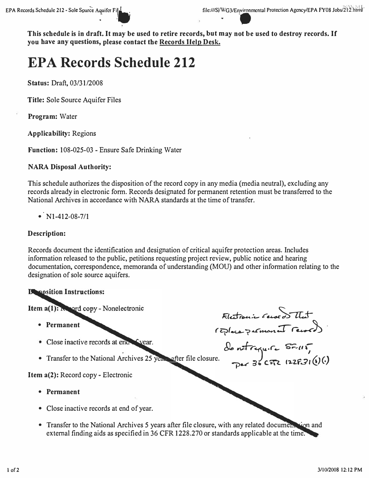Kletronic records That

de notreguire SF-115,<br>Der 36 CFR 122F31(1)(1)

This schedule is in draft. It may be used to retire records, but may not be used to destroy records. If you have any questions, please contact the Records Help Desk.

# **EPA Records Schedule 212**

Status: Draft, 03/31/2008

**Title: Sole Source Aquifer Files** 

**Program:** Water

**Applicability: Regions** 

Function: 108-025-03 - Ensure Safe Drinking Water

#### **NARA Disposal Authority:**

This schedule authorizes the disposition of the record copy in any media (media neutral), excluding any records already in electronic form. Records designated for permanent retention must be transferred to the National Archives in accordance with NARA standards at the time of transfer.

•  $N1-412-08-7/1$ 

#### **Description:**

Records document the identification and designation of critical aquifer protection areas. Includes information released to the public, petitions requesting project review, public notice and hearing documentation, correspondence, memoranda of understanding (MOU) and other information relating to the designation of sole source aquifers.

#### **B**oosition Instructions:

Item  $a(1)$ :  $N$  ord copy - Nonelectronic

- Permanent
- Close inactive records at end Syear.
- Transfer to the National Archives 25 years after file closure.

Item a(2): Record copy - Electronic

- Permanent
- Close inactive records at end of year.
- Transfer to the National Archives 5 years after file closure, with any related document tion and external finding aids as specified in 36 CFR 1228.270 or standards applicable at the time.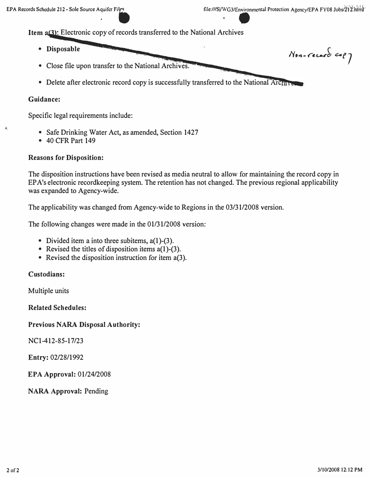Item **a(3)**: Electronic copy of records transferred to the National Archives

- **Disposable** Non-record copy
- **Close file upon transfer to the National Archives. -**
- Delete after electronic record copy is successfully transferred to the National Archiven

#### **Guidance:**

¥,

**Specific legal requirements include:** 

- **Safe Drinking Water Act, as amended, Section 1427**
- **40 CFR Part 149**

#### **Reasons for Disposition:**

**The disposition instructions have been revised as media neutral to allow for maintaining the record copy in EPA's electronic recordkeeping system. The retention has not changed. The previous regional applicability was expanded to Agency-wide.** 

**The applicability was changed from Agency-wide to Regions in the 03/31/2008 version.** 

**The following changes were made in the 01/31/2008 version:** 

- **Divided item a into three subitems, a(l )-(3).**
- **Revised the titles of disposition items a(l )-(3).**
- **Revised the disposition instruction for item a(3).**

**Custodians:** 

**Multiple units** 

**Related Schedules:** 

#### **Previous NARA Disposal Authority:**

**NCl-412-85-17/23** 

**Entry: 02/28/1992** 

**EPA Approval: 01/24/2008** 

**NARA Approval: Pending**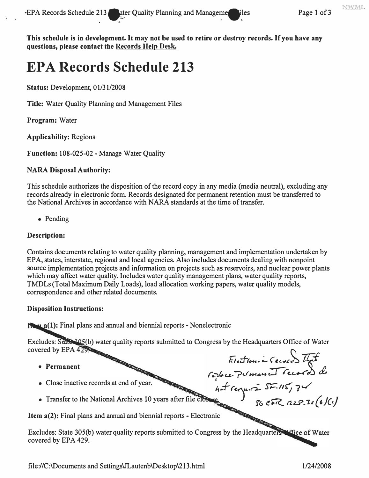This schedule is in development. It may not be used to retire or destroy records. If you have any questions, please contact the Records Help Desk.

liles

# **EPA Records Schedule 213**

Status: Development, 01/31/2008

**Title:** Water Quality Planning and Management Files

Program: Water

**Applicability: Regions** 

Function: 108-025-02 - Manage Water Quality

## **NARA Disposal Authority:**

This schedule authorizes the disposition of the record copy in any media (media neutral), excluding any records already in electronic form. Records designated for permanent retention must be transferred to the National Archives in accordance with NARA standards at the time of transfer.

 $\bullet$  Pending

## **Description:**

Contains documents relating to water quality planning, management and implementation undertaken by EPA, states, interstate, regional and local agencies. Also includes documents dealing with nonpoint source implementation projects and information on projects such as reservoirs, and nuclear power plants which may affect water quality. Includes water quality management plans, water quality reports, TMDLs (Total Maximum Daily Loads), load allocation working papers, water quality models, correspondence and other related documents.

#### **Disposition Instructions:**

**Remate 1:** Final plans and annual and biennial reports - Nonelectronic

**REAL PROPERTY AND** 

Excludes: State (b) water quality reports submitted to Congress by the Headquarters Office of Water covered by EPA 429. Flection i Second That

- Permanent
- 
- 

• Close inactive records at circuit and the set of the close of the National Archives 10 years after file close  $\frac{36}{56}$  CFC Item a(2): Final plans and annual and biennial reports - Electronic

Excludes: State 305(b) water quality reports submitted to Congress by the Headquarters of Gice of Water covered by EPA 429.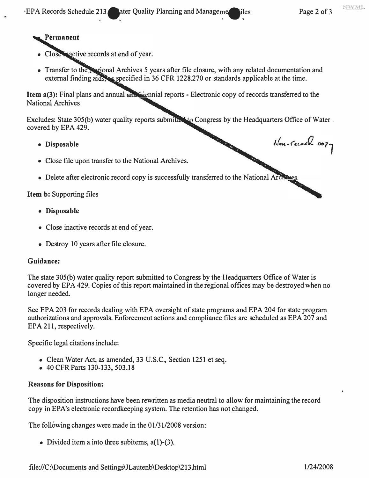Non-record 0074

# Permanent

- Close mactive records at end of year.
- Transfer to the **National Archives 5 years after file closure**, with any related documentation and external finding aids, as specified in 36 CFR 1228.270 or standards applicable at the time.

**Item a(3):** Final plans and annual and  $\frac{1}{2}$  reports - Electronic copy of records transferred to the **National Archives** 

**Excludes: State 305(b) water quality reports submitted to Congress by the Headquarters Office of Water. covered by EPA 429.** 

- **Disposable**
- **Close file upon transfer to the National Archives.**
- Delete after electronic record copy is successfully transferred to the National Arch

**Item b: Supporting files** 

- **Disposable**
- **Close inactive records at end of year.**
- **Destroy 10 years after file closure.**

#### **Guidance:**

**The state 305(b) water quality report submitted to Congress by the Headquarters Office of Water is covered by EPA 429. Copies of this report maintained in the regional offices may be destroyed when no longer needed.** 

**See EPA 203 for records dealing with EPA oversight of state programs and EPA 204 for state program authorizations and approvals. Enforcement actions and compliance files are scheduled as EPA 207 and EPA 211, respectively.** 

**Specific legal citations include:** 

- **Clean Water Act, as amended, 33 U.S.C., Section 1251 et seq.**
- **40 CFR Parts 130-133, 503.18**

#### **Reasons for Disposition:**

**The disposition instructions have been rewritten as media neutral to allow for maintaining the record**  copy in EPA's electronic recordkeeping system. The retention has not changed.

The following changes were made in the 01/31/2008 version:

**• Divided item a into three subitems, a(l)-(3).**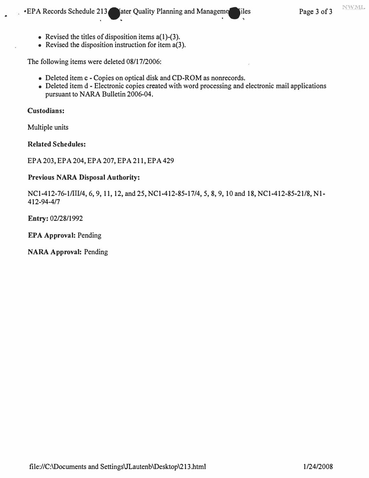- **Revised the titles of disposition items a(l)-(3).**
- **Revised the disposition instruction for item a(3).**

**The following items were deleted 08/17/2006:** 

- **Deleted item c - Copies on optical disk and CD-ROM as nonrecords.**
- **Deleted item d Electronic copies created with word processing and electronic mail applications pursuant to NARA Bulletin 2006-04.**

#### **Custodians:**

**Multiple units** 

#### **Related Schedules:**

**EPA 203, EPA 204, EPA 207, EPA 211, EPA 429** 

#### **Previous NARA Disposal Authority:**

**NCl-412-76-1/Ill/4, 6, 9, 11, 12, and 25, NCl-412-85-17/4, 5, 8, 9, 10 and 18, NCl-412-85-21/8, Nl-412-94-4/7**

**Entry: 02/28/1992** 

**EPA Approval: Pending** 

**NARA Approval: Pending**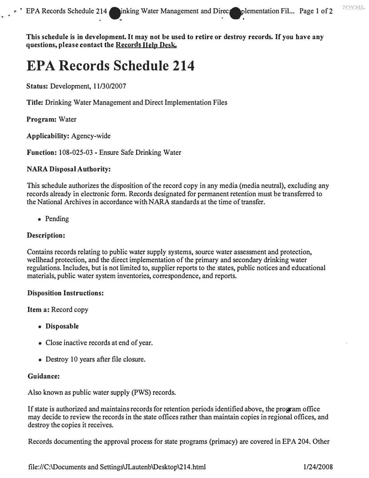**This schedule is in development. It may not be used to retire or destroy records. If you have any**  questions, please contact the Records Help Desk.

# **EPA Records Schedule 214**

**Status: Development, 11/30/2007** 

**Title: Drinking Water Management and Direct Implementation Files** 

**Program: Water** 

**Applicability: Agency-wide** 

**Function: 108-025-03 - Ensure Safe Drinking Water** 

## **NARA Disposal Authority:**

**This schedule authorizes the disposition of the record copy in any media (media neutral), excluding any records already in electronic form. Records designated for permanent retention must be transferred to the National Archives in accordance with NARA standards at the time of transfer.** 

**• Pending** 

## **Description:**

**Contains records relating to public water supply systems, source water assessment and protection, wellhead protection, and the direct implementation of the primary and secondary drinking water regulations. Includes, but is not limited to, supplier reports to the states, public notices and educational materials, public water system inventories, correspondence, and reports.** 

#### **Disposition Instructions:**

**Item a: Record copy** 

- **Disposable**
- **Close inactive records at end of year.**
- **Destroy 10 years after file closure.**

#### **Guidance:**

**Also known as public water supply (PWS) records.** 

**If state is authorized and maintains records for retention periods identified above, the program office may decide to review the records in the state offices rather than maintain copies in regional offices, and destroy the copies it receives.** 

**Records documenting the approval process for state programs (primacy) are covered in EPA 204. Other** 

**<file://C:\Documents> and SettingsVLautenb\Desktop\214.html 1/24/2008** 

**NWML**